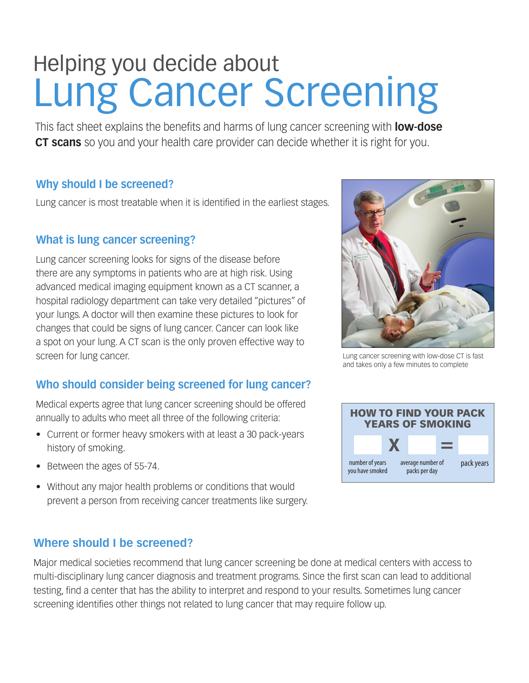# Helping you decide about Lung Cancer Screening

This fact sheet explains the benefits and harms of lung cancer screening with **low-dose CT scans** so you and your health care provider can decide whether it is right for you.

### **Why should I be screened?**

Lung cancer is most treatable when it is identified in the earliest stages.

#### **What is lung cancer screening?**

Lung cancer screening looks for signs of the disease before there are any symptoms in patients who are at high risk. Using advanced medical imaging equipment known as a CT scanner, a hospital radiology department can take very detailed "pictures" of your lungs. A doctor will then examine these pictures to look for changes that could be signs of lung cancer. Cancer can look like a spot on your lung. A CT scan is the only proven effective way to screen for lung cancer.

## **Who should consider being screened for lung cancer?**

Medical experts agree that lung cancer screening should be offered annually to adults who meet all three of the following criteria:

- Current or former heavy smokers with at least a 30 pack-years history of smoking.
- Between the ages of 55-74.
- Without any major health problems or conditions that would prevent a person from receiving cancer treatments like surgery.

## **Where should I be screened?**

Major medical societies recommend that lung cancer screening be done at medical centers with access to multi-disciplinary lung cancer diagnosis and treatment programs. Since the first scan can lead to additional testing, find a center that has the ability to interpret and respond to your results. Sometimes lung cancer screening identifies other things not related to lung cancer that may require follow up.



Lung cancer screening with low-dose CT is fast and takes only a few minutes to complete